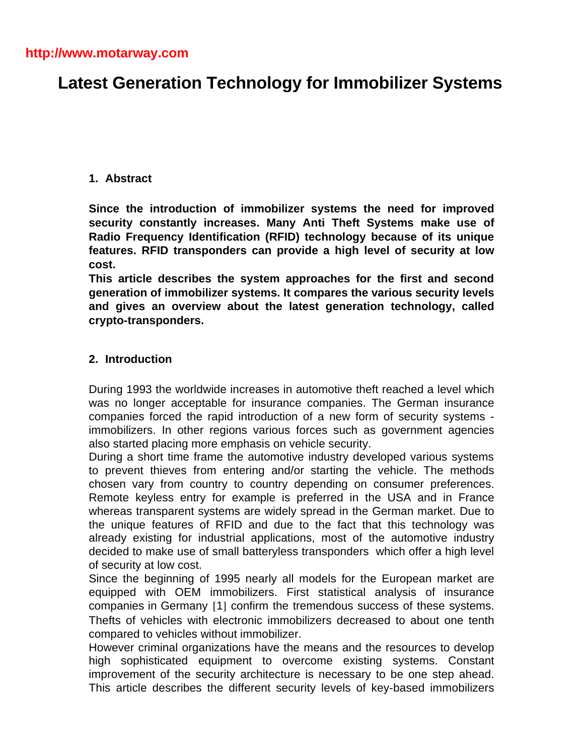# **Latest Generation Technology for Immobilizer Systems**

## **1. Abstract**

**Since the introduction of immobilizer systems the need for improved security constantly increases. Many Anti Theft Systems make use of Radio Frequency Identification (RFID) technology because of its unique features. RFID transponders can provide a high level of security at low cost.**

**This article describes the system approaches for the first and second generation of immobilizer systems. It compares the various security levels and gives an overview about the latest generation technology, called crypto-transponders.**

## **2. Introduction**

During 1993 the worldwide increases in automotive theft reached a level which was no longer acceptable for insurance companies. The German insurance companies forced the rapid introduction of a new form of security systems immobilizers. In other regions various forces such as government agencies also started placing more emphasis on vehicle security.

During a short time frame the automotive industry developed various systems to prevent thieves from entering and/or starting the vehicle. The methods chosen vary from country to country depending on consumer preferences. Remote keyless entry for example is preferred in the USA and in France whereas transparent systems are widely spread in the German market. Due to the unique features of RFID and due to the fact that this technology was already existing for industrial applications, most of the automotive industry decided to make use of small batteryless transponders which offer a high level of security at low cost.

Since the beginning of 1995 nearly all models for the European market are equipped with OEM immobilizers. First statistical analysis of insurance companies in Germany [1] confirm the tremendous success of these systems. Thefts of vehicles with electronic immobilizers decreased to about one tenth compared to vehicles without immobilizer.

However criminal organizations have the means and the resources to develop high sophisticated equipment to overcome existing systems. Constant improvement of the security architecture is necessary to be one step ahead. This article describes the different security levels of key-based immobilizers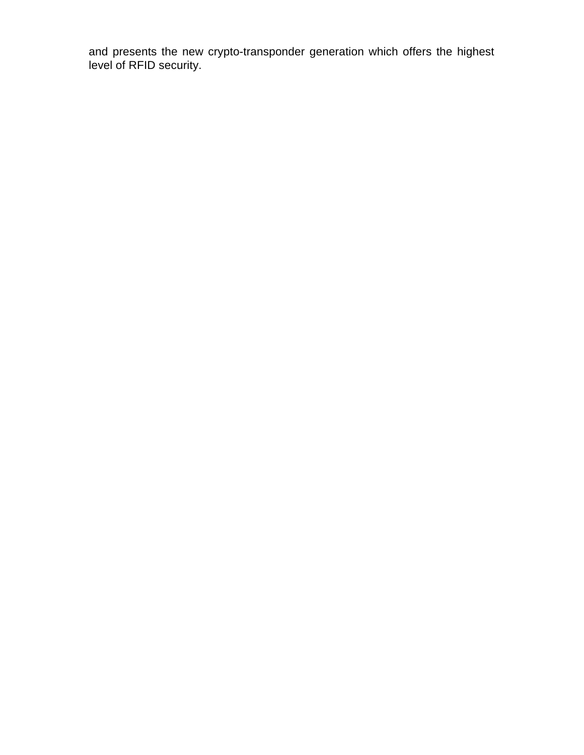and presents the new crypto-transponder generation which offers the highest level of RFID security.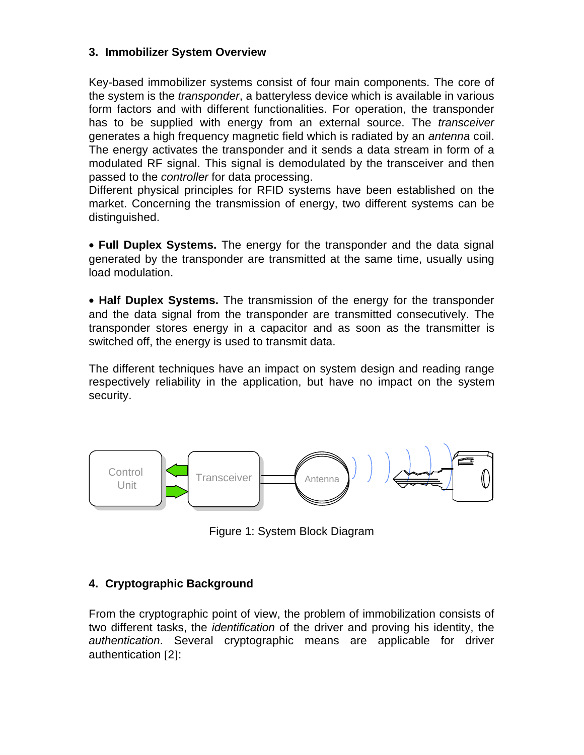## **3. Immobilizer System Overview**

Key-based immobilizer systems consist of four main components. The core of the system is the *transponder*, a batteryless device which is available in various form factors and with different functionalities. For operation, the transponder has to be supplied with energy from an external source. The *transceiver* generates a high frequency magnetic field which is radiated by an *antenna* coil. The energy activates the transponder and it sends a data stream in form of a modulated RF signal. This signal is demodulated by the transceiver and then passed to the *controller* for data processing.

Different physical principles for RFID systems have been established on the market. Concerning the transmission of energy, two different systems can be distinguished.

• **Full Duplex Systems.** The energy for the transponder and the data signal generated by the transponder are transmitted at the same time, usually using load modulation.

• **Half Duplex Systems.** The transmission of the energy for the transponder and the data signal from the transponder are transmitted consecutively. The transponder stores energy in a capacitor and as soon as the transmitter is switched off, the energy is used to transmit data.

The different techniques have an impact on system design and reading range respectively reliability in the application, but have no impact on the system security.



Figure 1: System Block Diagram

# **4. Cryptographic Background**

From the cryptographic point of view, the problem of immobilization consists of two different tasks, the *identification* of the driver and proving his identity, the *authentication*. Several cryptographic means are applicable for driver authentication [2]: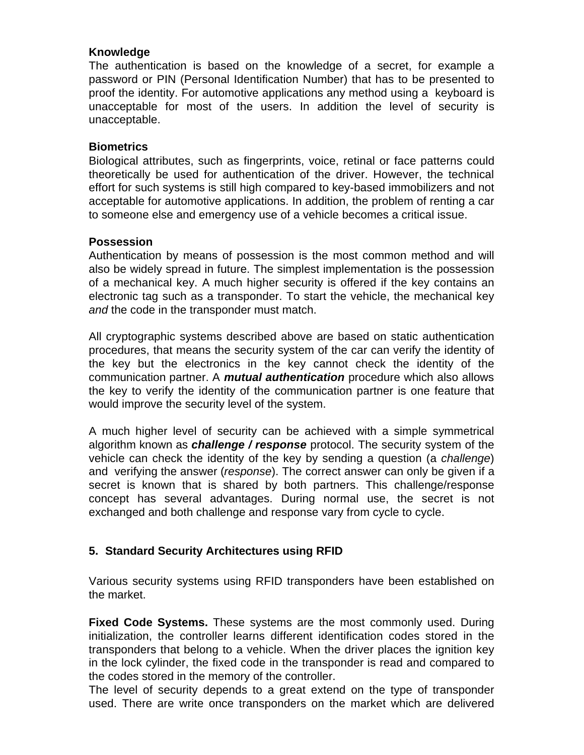#### **Knowledge**

The authentication is based on the knowledge of a secret, for example a password or PIN (Personal Identification Number) that has to be presented to proof the identity. For automotive applications any method using a keyboard is unacceptable for most of the users. In addition the level of security is unacceptable.

#### **Biometrics**

Biological attributes, such as fingerprints, voice, retinal or face patterns could theoretically be used for authentication of the driver. However, the technical effort for such systems is still high compared to key-based immobilizers and not acceptable for automotive applications. In addition, the problem of renting a car to someone else and emergency use of a vehicle becomes a critical issue.

#### **Possession**

Authentication by means of possession is the most common method and will also be widely spread in future. The simplest implementation is the possession of a mechanical key. A much higher security is offered if the key contains an electronic tag such as a transponder. To start the vehicle, the mechanical key *and* the code in the transponder must match.

All cryptographic systems described above are based on static authentication procedures, that means the security system of the car can verify the identity of the key but the electronics in the key cannot check the identity of the communication partner. A *mutual authentication* procedure which also allows the key to verify the identity of the communication partner is one feature that would improve the security level of the system.

A much higher level of security can be achieved with a simple symmetrical algorithm known as *challenge / response* protocol. The security system of the vehicle can check the identity of the key by sending a question (a *challenge*) and verifying the answer (*response*). The correct answer can only be given if a secret is known that is shared by both partners. This challenge/response concept has several advantages. During normal use, the secret is not exchanged and both challenge and response vary from cycle to cycle.

# **5. Standard Security Architectures using RFID**

Various security systems using RFID transponders have been established on the market.

**Fixed Code Systems.** These systems are the most commonly used. During initialization, the controller learns different identification codes stored in the transponders that belong to a vehicle. When the driver places the ignition key in the lock cylinder, the fixed code in the transponder is read and compared to the codes stored in the memory of the controller.

The level of security depends to a great extend on the type of transponder used. There are write once transponders on the market which are delivered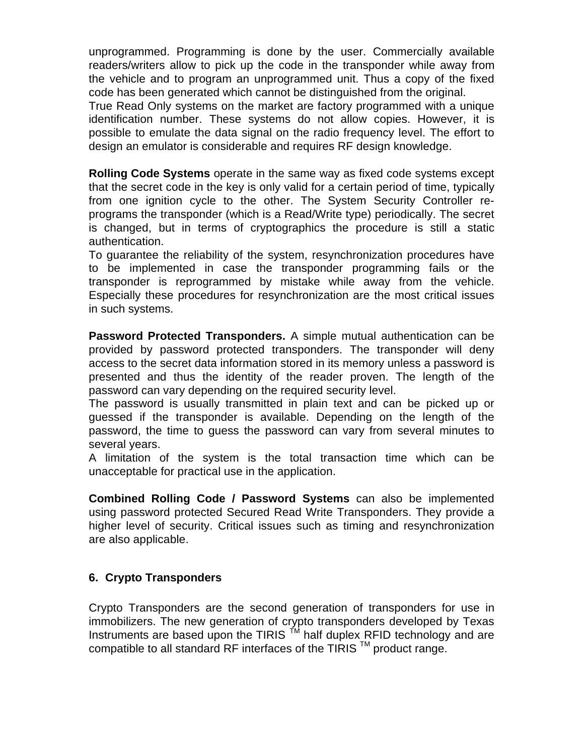unprogrammed. Programming is done by the user. Commercially available readers/writers allow to pick up the code in the transponder while away from the vehicle and to program an unprogrammed unit. Thus a copy of the fixed code has been generated which cannot be distinguished from the original.

True Read Only systems on the market are factory programmed with a unique identification number. These systems do not allow copies. However, it is possible to emulate the data signal on the radio frequency level. The effort to design an emulator is considerable and requires RF design knowledge.

**Rolling Code Systems** operate in the same way as fixed code systems except that the secret code in the key is only valid for a certain period of time, typically from one ignition cycle to the other. The System Security Controller reprograms the transponder (which is a Read/Write type) periodically. The secret is changed, but in terms of cryptographics the procedure is still a static authentication.

To guarantee the reliability of the system, resynchronization procedures have to be implemented in case the transponder programming fails or the transponder is reprogrammed by mistake while away from the vehicle. Especially these procedures for resynchronization are the most critical issues in such systems.

**Password Protected Transponders.** A simple mutual authentication can be provided by password protected transponders. The transponder will deny access to the secret data information stored in its memory unless a password is presented and thus the identity of the reader proven. The length of the password can vary depending on the required security level.

The password is usually transmitted in plain text and can be picked up or guessed if the transponder is available. Depending on the length of the password, the time to guess the password can vary from several minutes to several years.

A limitation of the system is the total transaction time which can be unacceptable for practical use in the application.

**Combined Rolling Code / Password Systems** can also be implemented using password protected Secured Read Write Transponders. They provide a higher level of security. Critical issues such as timing and resynchronization are also applicable.

# **6. Crypto Transponders**

Crypto Transponders are the second generation of transponders for use in immobilizers. The new generation of crypto transponders developed by Texas Instruments are based upon the TIRIS  $<sup>TM</sup>$  half duplex RFID technology and are</sup> compatible to all standard RF interfaces of the TIRIS  $<sup>TM</sup>$  product range.</sup>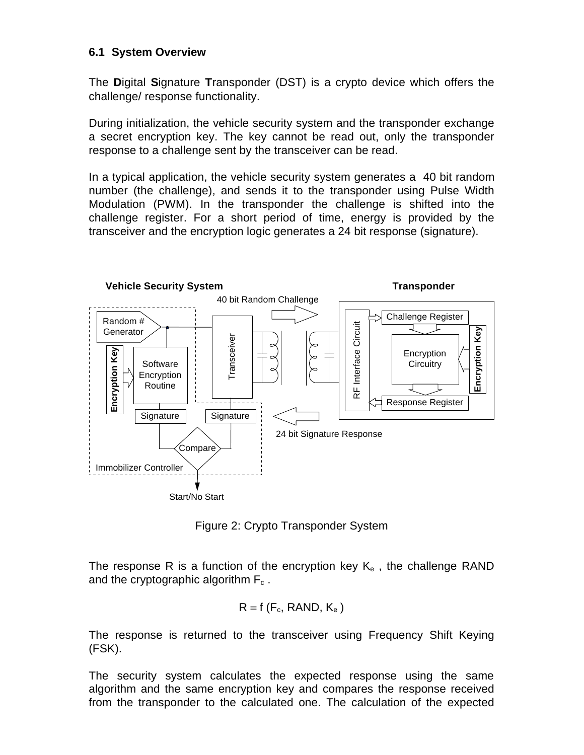#### **6.1 System Overview**

The **D**igital **S**ignature **T**ransponder (DST) is a crypto device which offers the challenge/ response functionality.

During initialization, the vehicle security system and the transponder exchange a secret encryption key. The key cannot be read out, only the transponder response to a challenge sent by the transceiver can be read.

In a typical application, the vehicle security system generates a 40 bit random number (the challenge), and sends it to the transponder using Pulse Width Modulation (PWM). In the transponder the challenge is shifted into the challenge register. For a short period of time, energy is provided by the transceiver and the encryption logic generates a 24 bit response (signature).



Figure 2: Crypto Transponder System

The response R is a function of the encryption key  $K_e$ , the challenge RAND and the cryptographic algorithm  $F_c$ .

$$
R = f(F_c, RAND, K_e)
$$

The response is returned to the transceiver using Frequency Shift Keying (FSK).

The security system calculates the expected response using the same algorithm and the same encryption key and compares the response received from the transponder to the calculated one. The calculation of the expected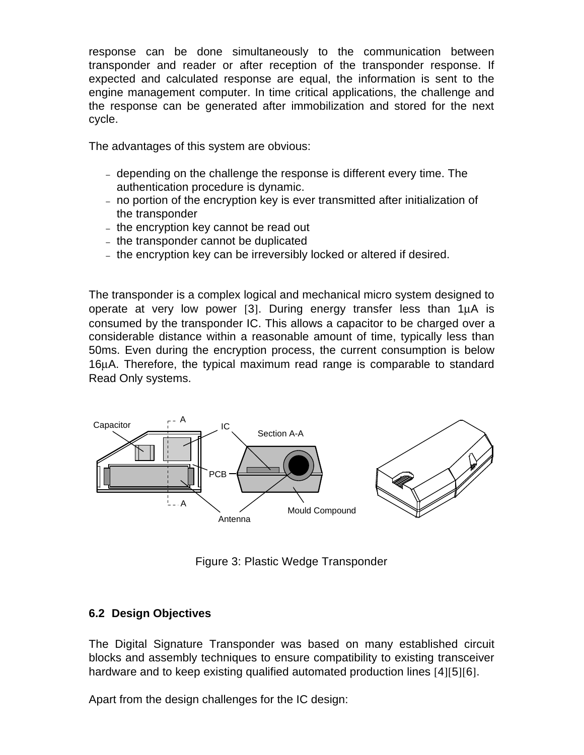response can be done simultaneously to the communication between transponder and reader or after reception of the transponder response. If expected and calculated response are equal, the information is sent to the engine management computer. In time critical applications, the challenge and the response can be generated after immobilization and stored for the next cycle.

The advantages of this system are obvious:

- depending on the challenge the response is different every time. The authentication procedure is dynamic.
- no portion of the encryption key is ever transmitted after initialization of the transponder
- the encryption key cannot be read out
- the transponder cannot be duplicated
- the encryption key can be irreversibly locked or altered if desired.

The transponder is a complex logical and mechanical micro system designed to operate at very low power [3]. During energy transfer less than  $1\mu A$  is consumed by the transponder IC. This allows a capacitor to be charged over a considerable distance within a reasonable amount of time, typically less than 50ms. Even during the encryption process, the current consumption is below 16µA. Therefore, the typical maximum read range is comparable to standard Read Only systems.



Figure 3: Plastic Wedge Transponder

# **6.2 Design Objectives**

The Digital Signature Transponder was based on many established circuit blocks and assembly techniques to ensure compatibility to existing transceiver hardware and to keep existing qualified automated production lines [4][5][6].

Apart from the design challenges for the IC design: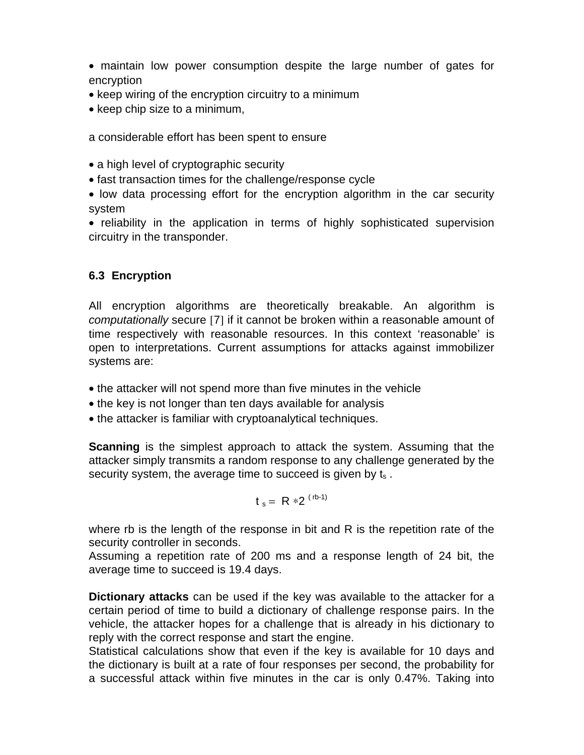• maintain low power consumption despite the large number of gates for encryption

- keep wiring of the encryption circuitry to a minimum
- keep chip size to a minimum,

a considerable effort has been spent to ensure

- a high level of cryptographic security
- fast transaction times for the challenge/response cycle

• low data processing effort for the encryption algorithm in the car security system

• reliability in the application in terms of highly sophisticated supervision circuitry in the transponder.

# **6.3 Encryption**

All encryption algorithms are theoretically breakable. An algorithm is *computationally* secure [7] if it cannot be broken within a reasonable amount of time respectively with reasonable resources. In this context 'reasonable' is open to interpretations. Current assumptions for attacks against immobilizer systems are:

- the attacker will not spend more than five minutes in the vehicle
- the key is not longer than ten days available for analysis
- the attacker is familiar with cryptoanalytical techniques.

**Scanning** is the simplest approach to attack the system. Assuming that the attacker simply transmits a random response to any challenge generated by the security system, the average time to succeed is given by  $t_s$ .

$$
t_s = R *2
$$
<sup>(rb-1)</sup>

where rb is the length of the response in bit and R is the repetition rate of the security controller in seconds.

Assuming a repetition rate of 200 ms and a response length of 24 bit, the average time to succeed is 19.4 days.

**Dictionary attacks** can be used if the key was available to the attacker for a certain period of time to build a dictionary of challenge response pairs. In the vehicle, the attacker hopes for a challenge that is already in his dictionary to reply with the correct response and start the engine.

Statistical calculations show that even if the key is available for 10 days and the dictionary is built at a rate of four responses per second, the probability for a successful attack within five minutes in the car is only 0.47%. Taking into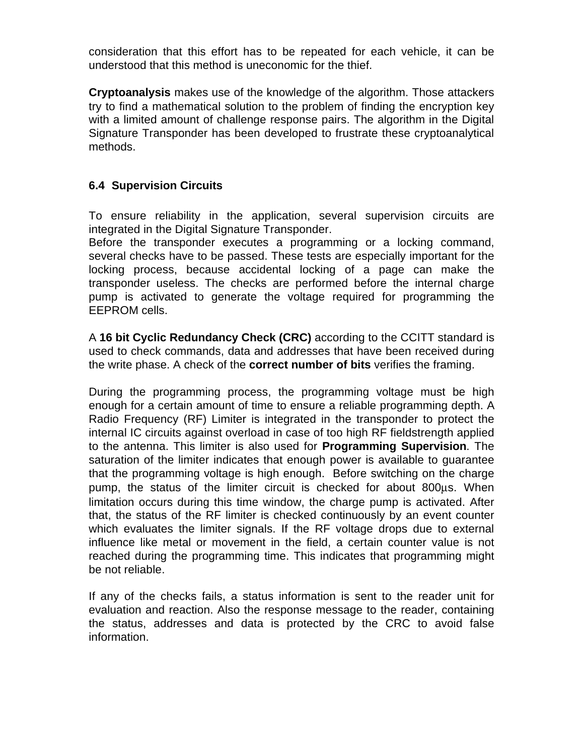consideration that this effort has to be repeated for each vehicle, it can be understood that this method is uneconomic for the thief.

**Cryptoanalysis** makes use of the knowledge of the algorithm. Those attackers try to find a mathematical solution to the problem of finding the encryption key with a limited amount of challenge response pairs. The algorithm in the Digital Signature Transponder has been developed to frustrate these cryptoanalytical methods.

## **6.4 Supervision Circuits**

To ensure reliability in the application, several supervision circuits are integrated in the Digital Signature Transponder.

Before the transponder executes a programming or a locking command, several checks have to be passed. These tests are especially important for the locking process, because accidental locking of a page can make the transponder useless. The checks are performed before the internal charge pump is activated to generate the voltage required for programming the EEPROM cells.

A **16 bit Cyclic Redundancy Check (CRC)** according to the CCITT standard is used to check commands, data and addresses that have been received during the write phase. A check of the **correct number of bits** verifies the framing.

During the programming process, the programming voltage must be high enough for a certain amount of time to ensure a reliable programming depth. A Radio Frequency (RF) Limiter is integrated in the transponder to protect the internal IC circuits against overload in case of too high RF fieldstrength applied to the antenna. This limiter is also used for **Programming Supervision**. The saturation of the limiter indicates that enough power is available to guarantee that the programming voltage is high enough. Before switching on the charge pump, the status of the limiter circuit is checked for about 800µs. When limitation occurs during this time window, the charge pump is activated. After that, the status of the RF limiter is checked continuously by an event counter which evaluates the limiter signals. If the RF voltage drops due to external influence like metal or movement in the field, a certain counter value is not reached during the programming time. This indicates that programming might be not reliable.

If any of the checks fails, a status information is sent to the reader unit for evaluation and reaction. Also the response message to the reader, containing the status, addresses and data is protected by the CRC to avoid false information.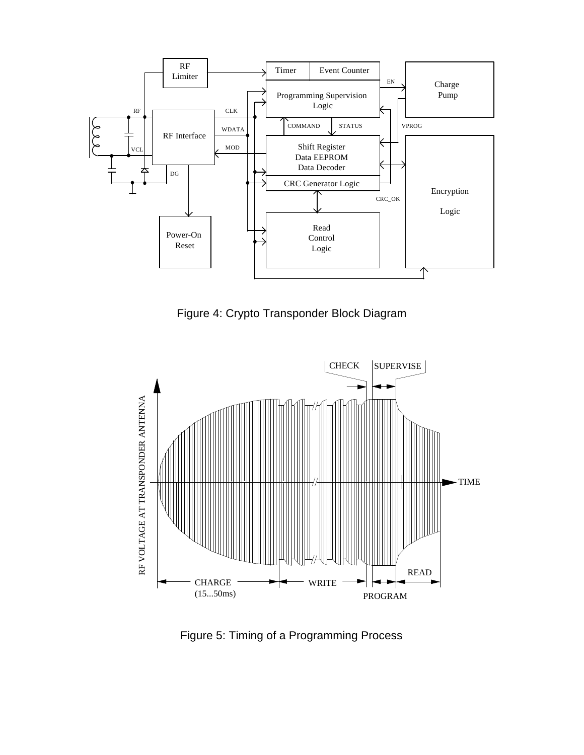

Figure 4: Crypto Transponder Block Diagram



Figure 5: Timing of a Programming Process